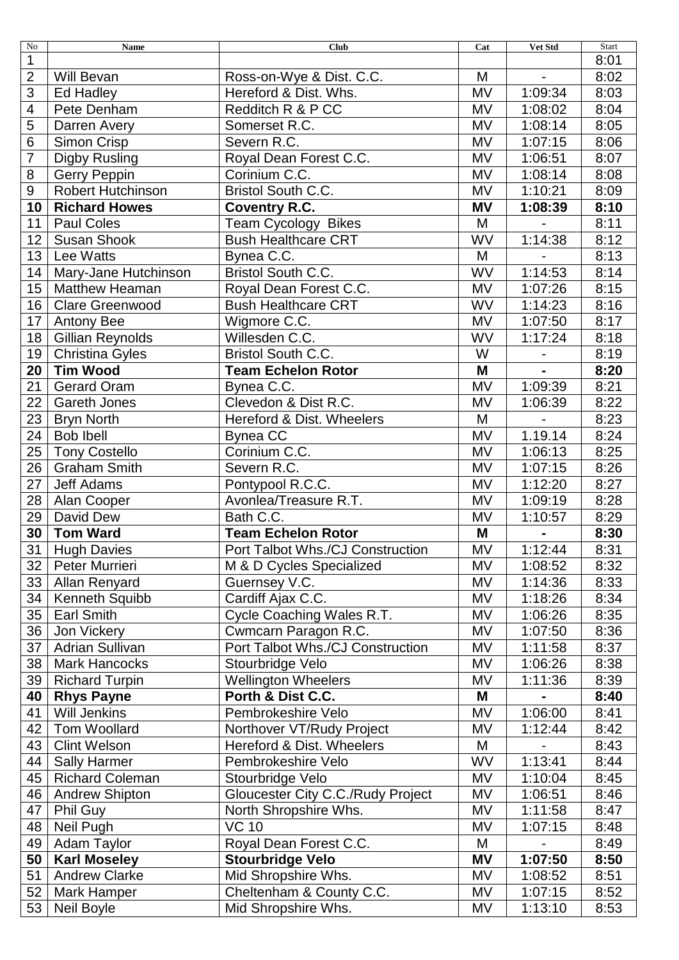| No              | <b>Name</b>              | <b>Club</b>                       | Cat       | Vet Std        | Start |
|-----------------|--------------------------|-----------------------------------|-----------|----------------|-------|
| 1               |                          |                                   |           |                | 8:01  |
| $\overline{2}$  | <b>Will Bevan</b>        | Ross-on-Wye & Dist. C.C.          | M         |                | 8:02  |
| 3               | Ed Hadley                | Hereford & Dist. Whs.             | MV        | 1:09:34        | 8:03  |
| 4               | Pete Denham              | Redditch R & P CC                 | MV        | 1:08:02        | 8:04  |
| 5               | Darren Avery             | Somerset R.C.                     | MV        | 1:08:14        | 8:05  |
| 6               | Simon Crisp              | Severn R.C.                       | <b>MV</b> | 1:07:15        | 8:06  |
| $\overline{7}$  | <b>Digby Rusling</b>     | Royal Dean Forest C.C.            | MV        | 1:06:51        | 8:07  |
| 8               | Gerry Peppin             | Corinium C.C.                     | MV        | 1:08:14        | 8:08  |
| 9               | <b>Robert Hutchinson</b> | <b>Bristol South C.C.</b>         | MV        | 1:10:21        | 8:09  |
| 10              | <b>Richard Howes</b>     | <b>Coventry R.C.</b>              | <b>MV</b> | 1:08:39        | 8:10  |
| 11              | <b>Paul Coles</b>        | Team Cycology Bikes               | M         | $\overline{a}$ | 8:11  |
| 12              | <b>Susan Shook</b>       | <b>Bush Healthcare CRT</b>        | <b>WV</b> | 1:14:38        | 8:12  |
| 13              | Lee Watts                | Bynea C.C.                        | M         |                | 8:13  |
| 14              | Mary-Jane Hutchinson     | Bristol South C.C.                | <b>WV</b> | 1:14:53        | 8:14  |
| 15              | <b>Matthew Heaman</b>    | Royal Dean Forest C.C.            | <b>MV</b> | 1:07:26        | 8:15  |
| 16              | <b>Clare Greenwood</b>   | <b>Bush Healthcare CRT</b>        | WV        | 1:14:23        | 8:16  |
| 17              | <b>Antony Bee</b>        | Wigmore C.C.                      | MV        | 1:07:50        | 8:17  |
| 18              | <b>Gillian Reynolds</b>  | Willesden C.C.                    | WV        | 1:17:24        | 8:18  |
| 19              | <b>Christina Gyles</b>   | <b>Bristol South C.C.</b>         | W         |                | 8:19  |
| 20              | <b>Tim Wood</b>          | <b>Team Echelon Rotor</b>         | M         |                | 8:20  |
| 21              | <b>Gerard Oram</b>       | Bynea C.C.                        | <b>MV</b> | 1:09:39        | 8:21  |
| 22              | <b>Gareth Jones</b>      | Clevedon & Dist R.C.              | MV        | 1:06:39        | 8:22  |
| 23              | <b>Bryn North</b>        | Hereford & Dist. Wheelers         | M         |                | 8:23  |
| 24              | <b>Bob Ibell</b>         | Bynea CC                          | <b>MV</b> | 1.19.14        | 8:24  |
| 25              | <b>Tony Costello</b>     | Corinium C.C.                     | MV        | 1:06:13        | 8:25  |
| 26              | <b>Graham Smith</b>      | Severn R.C.                       | MV        | 1:07:15        | 8:26  |
| 27              | Jeff Adams               | Pontypool R.C.C.                  | MV        | 1:12:20        | 8:27  |
| 28              | Alan Cooper              | Avonlea/Treasure R.T.             | MV        | 1:09:19        | 8:28  |
| 29              | David Dew                | Bath C.C.                         | MV        | 1:10:57        | 8:29  |
| 30              | <b>Tom Ward</b>          | <b>Team Echelon Rotor</b>         | M         |                | 8:30  |
| 31              | <b>Hugh Davies</b>       | Port Talbot Whs./CJ Construction  | MV        | 1:12:44        | 8:31  |
| 32 <sub>2</sub> | Peter Murrieri           | M & D Cycles Specialized          | MV        | 1:08:52        | 8:32  |
| 33              | Allan Renyard            | Guernsey V.C.                     | MV        | 1:14:36        | 8:33  |
| 34              | <b>Kenneth Squibb</b>    | Cardiff Ajax C.C.                 | MV        | 1:18:26        | 8:34  |
| 35              | <b>Earl Smith</b>        | Cycle Coaching Wales R.T.         | MV        | 1:06:26        | 8:35  |
| 36              | Jon Vickery              | Cwmcarn Paragon R.C.              | MV        | 1:07:50        | 8:36  |
| 37              | <b>Adrian Sullivan</b>   | Port Talbot Whs./CJ Construction  | MV        | 1:11:58        | 8:37  |
| 38              | <b>Mark Hancocks</b>     | Stourbridge Velo                  | MV        | 1:06:26        | 8:38  |
| 39              | <b>Richard Turpin</b>    | <b>Wellington Wheelers</b>        | MV        | 1:11:36        | 8:39  |
| 40              | <b>Rhys Payne</b>        | Porth & Dist C.C.                 | M         |                | 8:40  |
| 41              | <b>Will Jenkins</b>      | Pembrokeshire Velo                | MV        | 1:06:00        | 8:41  |
| 42              | Tom Woollard             | Northover VT/Rudy Project         | MV        | 1:12:44        | 8:42  |
| 43              | <b>Clint Welson</b>      | Hereford & Dist. Wheelers         | M         |                | 8:43  |
| 44              | <b>Sally Harmer</b>      | Pembrokeshire Velo                | WV        | 1:13:41        | 8:44  |
| 45              | <b>Richard Coleman</b>   | Stourbridge Velo                  | MV        | 1:10:04        | 8:45  |
| 46              | <b>Andrew Shipton</b>    | Gloucester City C.C./Rudy Project | MV        | 1:06:51        | 8:46  |
| 47              | Phil Guy                 | North Shropshire Whs.             | MV        | 1:11:58        | 8:47  |
| 48              | Neil Pugh                | <b>VC 10</b>                      | MV        | 1:07:15        | 8:48  |
| 49              | Adam Taylor              | Royal Dean Forest C.C.            | M         |                | 8:49  |
| 50              | <b>Karl Moseley</b>      | <b>Stourbridge Velo</b>           | MV        | 1:07:50        | 8:50  |
| 51              | <b>Andrew Clarke</b>     | Mid Shropshire Whs.               | MV        | 1:08:52        | 8:51  |
| 52              | <b>Mark Hamper</b>       | Cheltenham & County C.C.          | MV        | 1:07:15        | 8:52  |
| 53              | Neil Boyle               | Mid Shropshire Whs.               | <b>MV</b> | 1:13:10        | 8:53  |